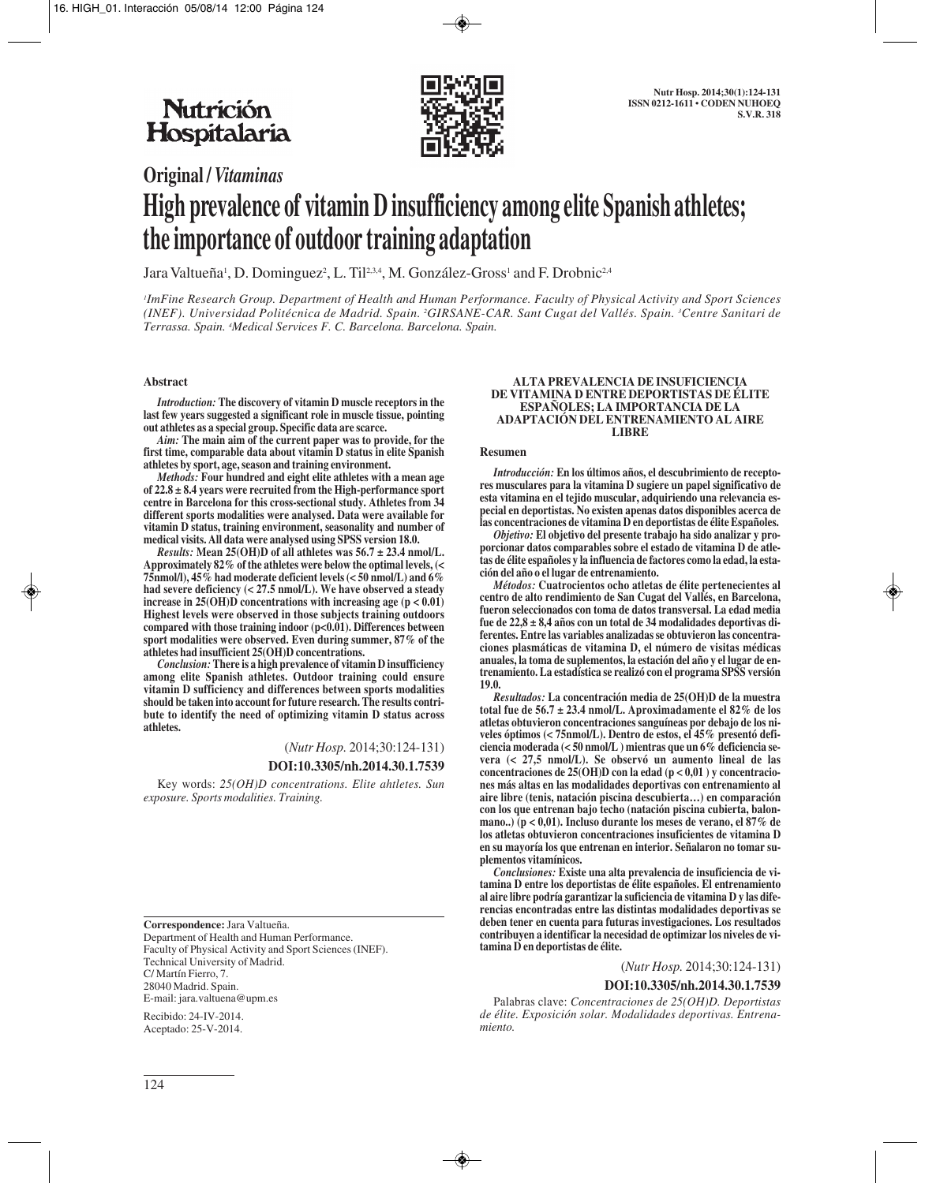

# **Original /** *Vitaminas* **High prevalence of vitamin D insufficiency among elite Spanish athletes; the importance of outdoor training adaptation**

Jara Valtueña', D. Dominguez<sup>2</sup>, L. Til234, M. González-Gross' and F. Drobnic<sup>2,4</sup>

*1 ImFine Research Group. Department of Health and Human Performance. Faculty of Physical Activity and Sport Sciences (INEF). Universidad Politécnica de Madrid. Spain. 2 GIRSANE-CAR. Sant Cugat del Vallés. Spain. 3 Centre Sanitari de Terrassa. Spain. 4 Medical Services F. C. Barcelona. Barcelona. Spain.*

#### **Abstract**

*Introduction:* **The discovery of vitamin D muscle receptors in the last few years suggested a significant role in muscle tissue, pointing out athletes as a special group. Specific data are scarce.**

*Aim:* **The main aim of the current paper was to provide, for the first time, comparable data about vitamin D status in elite Spanish athletes by sport, age, season and training environment.** 

*Methods:* **Four hundred and eight elite athletes with a mean age of 22.8 ± 8.4 years were recruited from the High-performance sport centre in Barcelona for this cross-sectional study. Athletes from 34 different sports modalities were analysed. Data were available for vitamin D status, training environment, seasonality and number of medical visits. All data were analysed using SPSS version 18.0.** 

*Results:* **Mean 25(OH)D of all athletes was 56.7 ± 23.4 nmol/L. Approximately 82% of the athletes were below the optimal levels, (< 75nmol/l), 45% had moderate deficient levels (< 50 nmol/L) and 6% had severe deficiency (< 27.5 nmol/L). We have observed a steady increase in 25(OH)D concentrations with increasing age (p < 0.01) Highest levels were observed in those subjects training outdoors compared with those training indoor (p<0.01). Differences between sport modalities were observed. Even during summer, 87% of the athletes had insufficient 25(OH)D concentrations.** 

*Conclusion:* **There is a high prevalence of vitamin D insufficiency among elite Spanish athletes. Outdoor training could ensure vitamin D sufficiency and differences between sports modalities should be taken into account for future research. The results contribute to identify the need of optimizing vitamin D status across athletes.**

(*Nutr Hosp.* 2014;30:124-131)

# **DOI:10.3305/nh.2014.30.1.7539**

Key words: *25(OH)D concentrations. Elite ahtletes. Sun exposure. Sports modalities. Training.*

**Correspondence:** Jara Valtueña. Department of Health and Human Performance. Faculty of Physical Activity and Sport Sciences (INEF). Technical University of Madrid. C/ Martín Fierro, 7. 28040 Madrid. Spain. E-mail: jara.valtuena@upm.es

Recibido: 24-IV-2014. Aceptado: 25-V-2014.

#### **ALTA PREVALENCIA DE INSUFICIENCIA DE VITAMINA D ENTRE DEPORTISTAS DE ÉLITE ESPAÑOLES; LA IMPORTANCIA DE LA ADAPTACIÓN DEL ENTRENAMIENTO AL AIRE LIBRE**

#### **Resumen**

*Introducción:* **En los últimos años, el descubrimiento de receptores musculares para la vitamina D sugiere un papel significativo de esta vitamina en el tejido muscular, adquiriendo una relevancia especial en deportistas. No existen apenas datos disponibles acerca de las concentraciones de vitamina D en deportistas de élite Españoles.** 

*Objetivo:* **El objetivo del presente trabajo ha sido analizar y proporcionar datos comparables sobre el estado de vitamina D de atletas de élite españoles y la influencia de factores como la edad, la estación del año o el lugar de entrenamiento.** 

*Métodos:* **Cuatrocientos ocho atletas de élite pertenecientes al centro de alto rendimiento de San Cugat del Vallés, en Barcelona, fueron seleccionados con toma de datos transversal. La edad media fue de 22,8 ± 8,4 años con un total de 34 modalidades deportivas diferentes. Entre las variables analizadas se obtuvieron las concentraciones plasmáticas de vitamina D, el número de visitas médicas anuales, la toma de suplementos, la estación del año y el lugar de entrenamiento. La estadística se realizó con el programa SPSS versión 19.0.**

*Resultados:* **La concentración media de 25(OH)D de la muestra total fue de 56.7 ± 23.4 nmol/L. Aproximadamente el 82% de los atletas obtuvieron concentraciones sanguíneas por debajo de los niveles óptimos (< 75nmol/L). Dentro de estos, el 45% presentó deficiencia moderada (< 50 nmol/L ) mientras que un 6% deficiencia severa (< 27,5 nmol/L). Se observó un aumento lineal de las concentraciones de 25(OH)D con la edad (p < 0,01 ) y concentraciones más altas en las modalidades deportivas con entrenamiento al aire libre (tenis, natación piscina descubierta…) en comparación con los que entrenan bajo techo (natación piscina cubierta, balonmano..) (p < 0,01). Incluso durante los meses de verano, el 87% de los atletas obtuvieron concentraciones insuficientes de vitamina D en su mayoría los que entrenan en interior. Señalaron no tomar suplementos vitamínicos.** 

*Conclusiones:* **Existe una alta prevalencia de insuficiencia de vitamina D entre los deportistas de élite españoles. El entrenamiento al aire libre podría garantizar la suficiencia de vitamina D y las diferencias encontradas entre las distintas modalidades deportivas se deben tener en cuenta para futuras investigaciones. Los resultados contribuyen a identificar la necesidad de optimizar los niveles de vitamina D en deportistas de élite.**

#### (*Nutr Hosp.* 2014;30:124-131)

# **DOI:10.3305/nh.2014.30.1.7539**

Palabras clave: *Concentraciones de 25(OH)D. Deportistas de élite. Exposición solar. Modalidades deportivas. Entrenamiento.*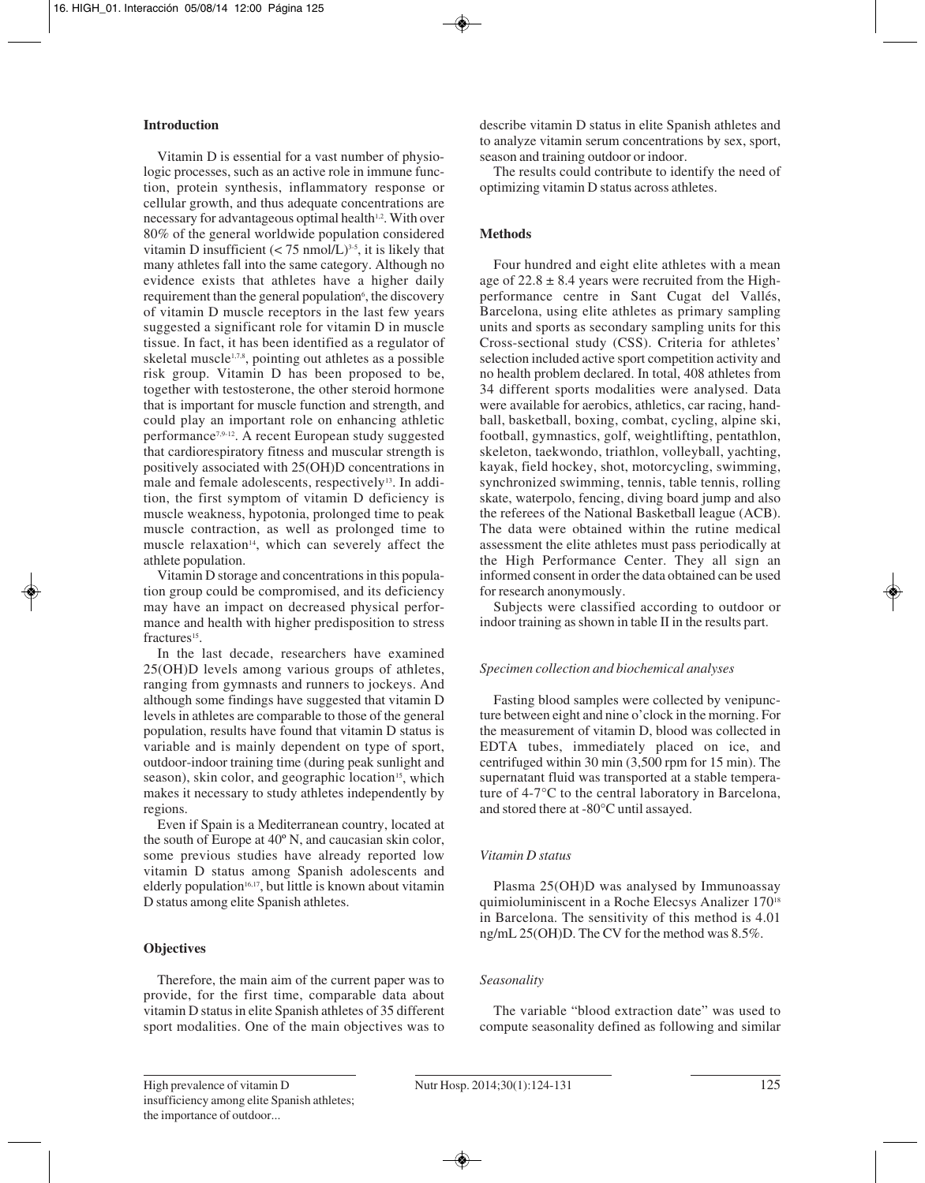# **Introduction**

Vitamin D is essential for a vast number of physiologic processes, such as an active role in immune function, protein synthesis, inflammatory response or cellular growth, and thus adequate concentrations are necessary for advantageous optimal health<sup>1,2</sup>. With over 80% of the general worldwide population considered vitamin D insufficient  $(< 75 \text{ nmol/L})^{3.5}$ , it is likely that many athletes fall into the same category. Although no evidence exists that athletes have a higher daily requirement than the general population<sup>6</sup>, the discovery of vitamin D muscle receptors in the last few years suggested a significant role for vitamin D in muscle tissue. In fact, it has been identified as a regulator of skeletal muscle<sup>1,7,8</sup>, pointing out athletes as a possible risk group. Vitamin D has been proposed to be, together with testosterone, the other steroid hormone that is important for muscle function and strength, and could play an important role on enhancing athletic performance7,9-12. A recent European study suggested that cardiorespiratory fitness and muscular strength is positively associated with 25(OH)D concentrations in male and female adolescents, respectively<sup>13</sup>. In addition, the first symptom of vitamin D deficiency is muscle weakness, hypotonia, prolonged time to peak muscle contraction, as well as prolonged time to muscle relaxation<sup>14</sup>, which can severely affect the athlete population.

Vitamin D storage and concentrations in this population group could be compromised, and its deficiency may have an impact on decreased physical performance and health with higher predisposition to stress fractures<sup>15</sup>.

In the last decade, researchers have examined 25(OH)D levels among various groups of athletes, ranging from gymnasts and runners to jockeys. And although some findings have suggested that vitamin D levels in athletes are comparable to those of the general population, results have found that vitamin D status is variable and is mainly dependent on type of sport, outdoor-indoor training time (during peak sunlight and season), skin color, and geographic location<sup>15</sup>, which makes it necessary to study athletes independently by regions.

Even if Spain is a Mediterranean country, located at the south of Europe at 40º N, and caucasian skin color, some previous studies have already reported low vitamin D status among Spanish adolescents and elderly population<sup>16,17</sup>, but little is known about vitamin D status among elite Spanish athletes.

# **Objectives**

Therefore, the main aim of the current paper was to provide, for the first time, comparable data about vitamin D status in elite Spanish athletes of 35 different sport modalities. One of the main objectives was to describe vitamin D status in elite Spanish athletes and to analyze vitamin serum concentrations by sex, sport, season and training outdoor or indoor.

The results could contribute to identify the need of optimizing vitamin D status across athletes.

# **Methods**

Four hundred and eight elite athletes with a mean age of  $22.8 \pm 8.4$  years were recruited from the Highperformance centre in Sant Cugat del Vallés, Barcelona, using elite athletes as primary sampling units and sports as secondary sampling units for this Cross-sectional study (CSS). Criteria for athletes' selection included active sport competition activity and no health problem declared. In total, 408 athletes from 34 different sports modalities were analysed. Data were available for aerobics, athletics, car racing, handball, basketball, boxing, combat, cycling, alpine ski, football, gymnastics, golf, weightlifting, pentathlon, skeleton, taekwondo, triathlon, volleyball, yachting, kayak, field hockey, shot, motorcycling, swimming, synchronized swimming, tennis, table tennis, rolling skate, waterpolo, fencing, diving board jump and also the referees of the National Basketball league (ACB). The data were obtained within the rutine medical assessment the elite athletes must pass periodically at the High Performance Center. They all sign an informed consent in order the data obtained can be used for research anonymously.

Subjects were classified according to outdoor or indoor training as shown in table II in the results part.

#### *Specimen collection and biochemical analyses*

Fasting blood samples were collected by venipuncture between eight and nine o'clock in the morning. For the measurement of vitamin D, blood was collected in EDTA tubes, immediately placed on ice, and centrifuged within 30 min (3,500 rpm for 15 min). The supernatant fluid was transported at a stable temperature of 4-7°C to the central laboratory in Barcelona, and stored there at -80°C until assayed.

#### *Vitamin D status*

Plasma 25(OH)D was analysed by Immunoassay quimioluminiscent in a Roche Elecsys Analizer 17018 in Barcelona. The sensitivity of this method is 4.01 ng/mL 25(OH)D. The CV for the method was 8.5%.

# *Seasonality*

The variable "blood extraction date" was used to compute seasonality defined as following and similar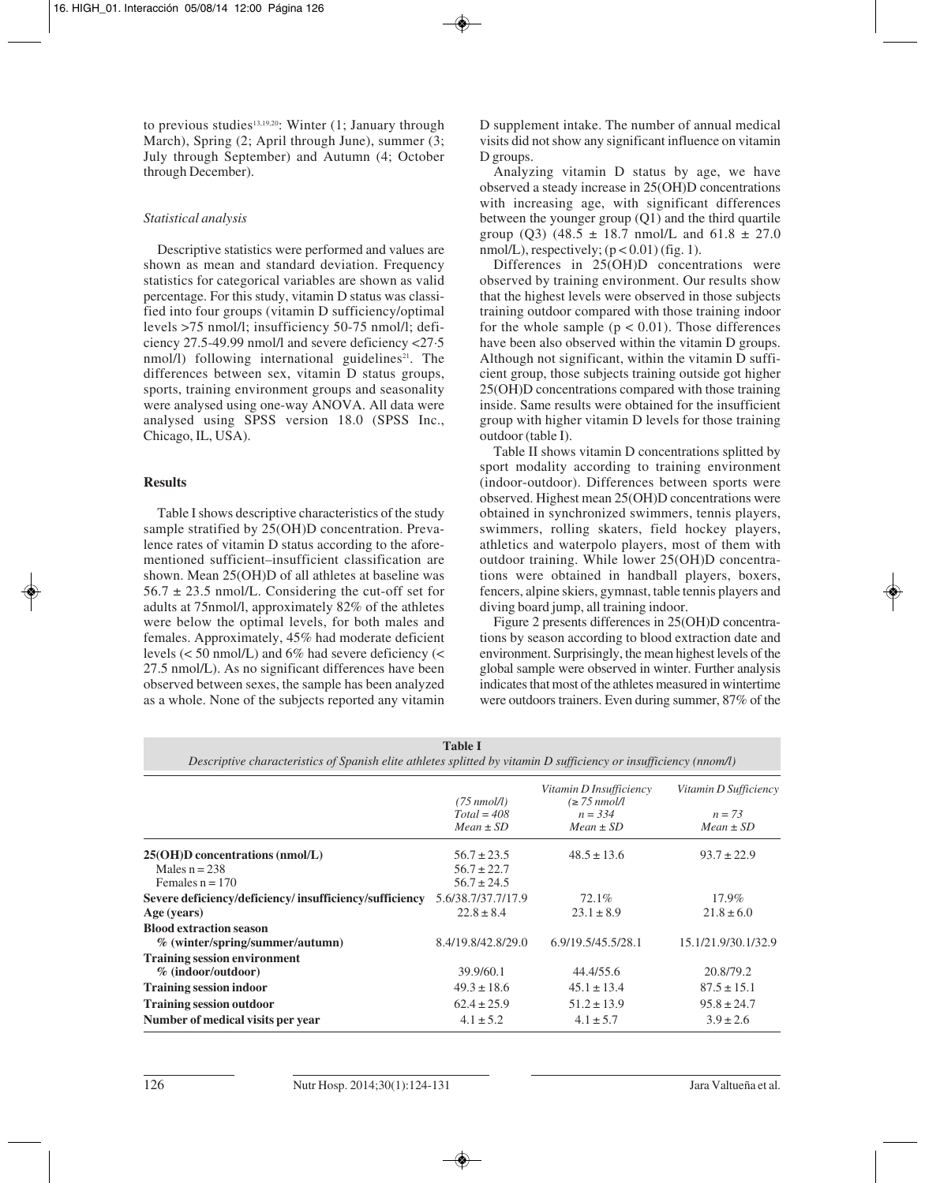to previous studies<sup>13,19,20</sup>: Winter  $(1; January through)$ March), Spring (2; April through June), summer (3; July through September) and Autumn (4; October through December).

## *Statistical analysis*

Descriptive statistics were performed and values are shown as mean and standard deviation. Frequency statistics for categorical variables are shown as valid percentage. For this study, vitamin D status was classified into four groups (vitamin D sufficiency/optimal levels >75 nmol/l; insufficiency 50-75 nmol/l; deficiency 27.5-49.99 nmol/l and severe deficiency <27·5 nmol/l) following international guidelines<sup>21</sup>. The differences between sex, vitamin D status groups, sports, training environment groups and seasonality were analysed using one-way ANOVA. All data were analysed using SPSS version 18.0 (SPSS Inc., Chicago, IL, USA).

## **Results**

Table I shows descriptive characteristics of the study sample stratified by 25(OH)D concentration. Prevalence rates of vitamin D status according to the aforementioned sufficient–insufficient classification are shown. Mean 25(OH)D of all athletes at baseline was  $56.7 \pm 23.5$  nmol/L. Considering the cut-off set for adults at 75nmol/l, approximately 82% of the athletes were below the optimal levels, for both males and females. Approximately, 45% had moderate deficient levels (< 50 nmol/L) and 6% had severe deficiency (< 27.5 nmol/L). As no significant differences have been observed between sexes, the sample has been analyzed as a whole. None of the subjects reported any vitamin

D supplement intake. The number of annual medical visits did not show any significant influence on vitamin D groups.

Analyzing vitamin D status by age, we have observed a steady increase in 25(OH)D concentrations with increasing age, with significant differences between the younger group (Q1) and the third quartile group (Q3) (48.5  $\pm$  18.7 nmol/L and 61.8  $\pm$  27.0 nmol/L), respectively;  $(p < 0.01)$  (fig. 1).

Differences in 25(OH)D concentrations were observed by training environment. Our results show that the highest levels were observed in those subjects training outdoor compared with those training indoor for the whole sample  $(p < 0.01)$ . Those differences have been also observed within the vitamin D groups. Although not significant, within the vitamin D sufficient group, those subjects training outside got higher 25(OH)D concentrations compared with those training inside. Same results were obtained for the insufficient group with higher vitamin D levels for those training outdoor (table I).

Table II shows vitamin D concentrations splitted by sport modality according to training environment (indoor-outdoor). Differences between sports were observed. Highest mean 25(OH)D concentrations were obtained in synchronized swimmers, tennis players, swimmers, rolling skaters, field hockey players, athletics and waterpolo players, most of them with outdoor training. While lower 25(OH)D concentrations were obtained in handball players, boxers, fencers, alpine skiers, gymnast, table tennis players and diving board jump, all training indoor.

Figure 2 presents differences in 25(OH)D concentrations by season according to blood extraction date and environment. Surprisingly, the mean highest levels of the global sample were observed in winter. Further analysis indicates that most of the athletes measured in wintertime were outdoors trainers. Even during summer, 87% of the

| <b>Table I</b><br>Descriptive characteristics of Spanish elite athletes splitted by vitamin D sufficiency or insufficiency (nnom/l) |                                                       |                                             |                                                    |  |  |  |  |  |  |  |
|-------------------------------------------------------------------------------------------------------------------------------------|-------------------------------------------------------|---------------------------------------------|----------------------------------------------------|--|--|--|--|--|--|--|
|                                                                                                                                     | $(75 \text{ nmol/l})$                                 | Vitamin D Insufficiency<br>$\leq 75$ nmol/l | Vitamin D Sufficiency<br>$n = 73$<br>$Mean \pm SD$ |  |  |  |  |  |  |  |
|                                                                                                                                     | $Total = 408$<br>$Mean \pm SD$                        | $n = 3.34$<br>$Mean \pm SD$                 |                                                    |  |  |  |  |  |  |  |
| $25(OH)D$ concentrations (nmol/L)<br>Males $n = 238$<br>Females $n = 170$                                                           | $56.7 \pm 23.5$<br>$56.7 \pm 22.7$<br>$56.7 \pm 24.5$ | $48.5 \pm 13.6$                             | $93.7 \pm 22.9$                                    |  |  |  |  |  |  |  |
| Severe deficiency/deficiency/insufficiency/sufficiency<br>Age (years)                                                               | 5.6/38.7/37.7/17.9<br>$22.8 \pm 8.4$                  | 72.1%<br>$23.1 \pm 8.9$                     | $17.9\%$<br>$21.8 \pm 6.0$                         |  |  |  |  |  |  |  |
| <b>Blood extraction season</b><br>$%$ (winter/spring/summer/autumn)                                                                 | 8.4/19.8/42.8/29.0                                    | 6.9/19.5/45.5/28.1                          | 15.1/21.9/30.1/32.9                                |  |  |  |  |  |  |  |
| <b>Training session environment</b><br>$%$ (indoor/outdoor)                                                                         | 39.9/60.1                                             | 44.4/55.6                                   | 20.8/79.2                                          |  |  |  |  |  |  |  |
| <b>Training session indoor</b>                                                                                                      | $49.3 \pm 18.6$                                       | $45.1 \pm 13.4$                             | $87.5 \pm 15.1$                                    |  |  |  |  |  |  |  |
| <b>Training session outdoor</b>                                                                                                     | $62.4 \pm 25.9$                                       | $51.2 \pm 13.9$                             | $95.8 \pm 24.7$                                    |  |  |  |  |  |  |  |
| Number of medical visits per year                                                                                                   | $4.1 \pm 5.2$                                         | $4.1 \pm 5.7$                               | $3.9 \pm 2.6$                                      |  |  |  |  |  |  |  |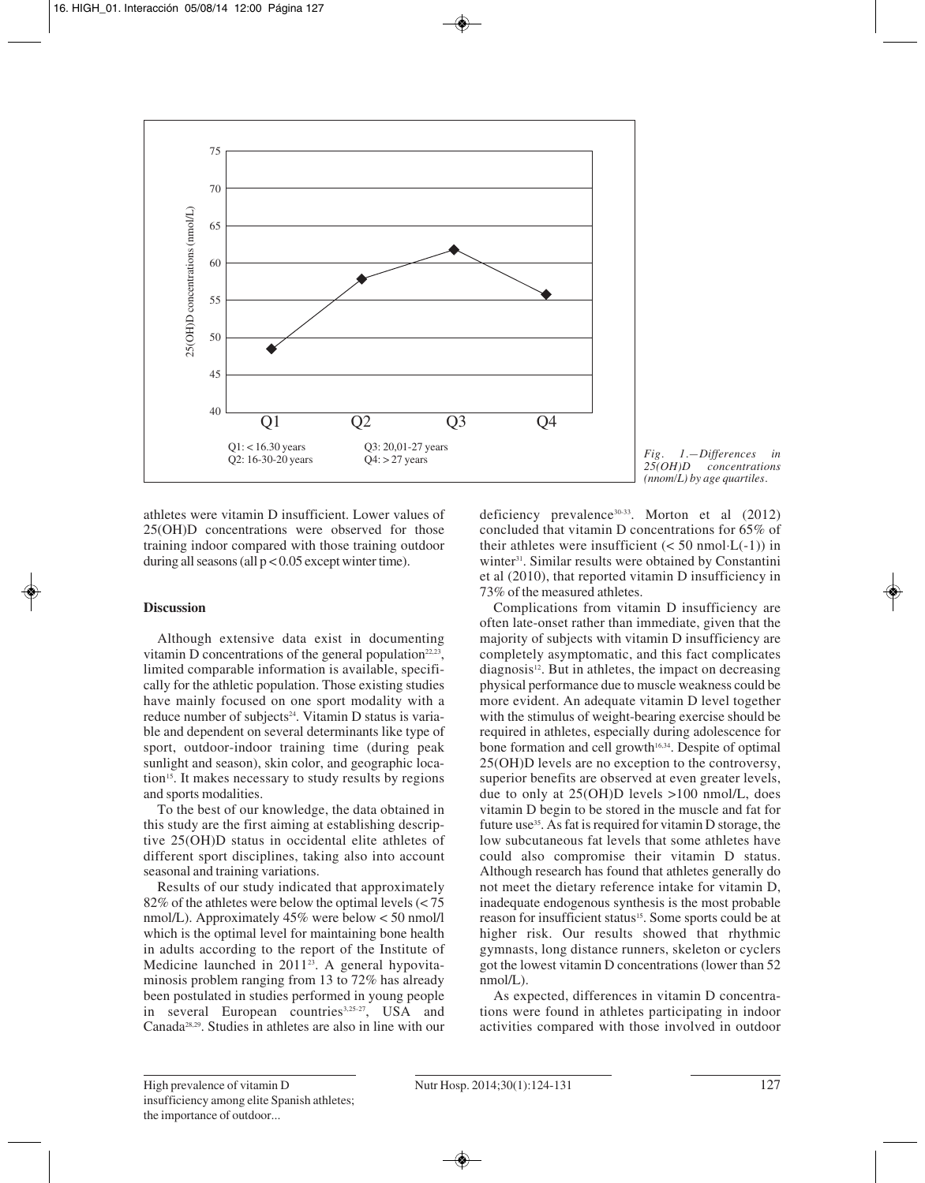

*Fig. 1.—Differences in 25(OH)D concentrations (nnom/L) by age quartiles.*

athletes were vitamin D insufficient. Lower values of 25(OH)D concentrations were observed for those training indoor compared with those training outdoor during all seasons (all  $p < 0.05$  except winter time).

# **Discussion**

Although extensive data exist in documenting vitamin D concentrations of the general population<sup>22,23</sup>, limited comparable information is available, specifically for the athletic population. Those existing studies have mainly focused on one sport modality with a reduce number of subjects<sup>24</sup>. Vitamin D status is variable and dependent on several determinants like type of sport, outdoor-indoor training time (during peak sunlight and season), skin color, and geographic location<sup>15</sup>. It makes necessary to study results by regions and sports modalities.

To the best of our knowledge, the data obtained in this study are the first aiming at establishing descriptive 25(OH)D status in occidental elite athletes of different sport disciplines, taking also into account seasonal and training variations.

Results of our study indicated that approximately 82% of the athletes were below the optimal levels (< 75 nmol/L). Approximately 45% were below < 50 nmol/l which is the optimal level for maintaining bone health in adults according to the report of the Institute of Medicine launched in 2011<sup>23</sup>. A general hypovitaminosis problem ranging from 13 to 72% has already been postulated in studies performed in young people in several European countries<sup>3,25-27</sup>, USA and Canada28,29. Studies in athletes are also in line with our

deficiency prevalence30-33. Morton et al (2012) concluded that vitamin D concentrations for 65% of their athletes were insufficient  $(< 50 \text{ nmol} \cdot L(-1))$  in winter<sup>31</sup>. Similar results were obtained by Constantini et al (2010), that reported vitamin D insufficiency in 73% of the measured athletes.

Complications from vitamin D insufficiency are often late-onset rather than immediate, given that the majority of subjects with vitamin D insufficiency are completely asymptomatic, and this fact complicates  $diagnostic<sup>12</sup>$ . But in athletes, the impact on decreasing physical performance due to muscle weakness could be more evident. An adequate vitamin D level together with the stimulus of weight-bearing exercise should be required in athletes, especially during adolescence for bone formation and cell growth<sup>16,34</sup>. Despite of optimal 25(OH)D levels are no exception to the controversy, superior benefits are observed at even greater levels, due to only at 25(OH)D levels >100 nmol/L, does vitamin D begin to be stored in the muscle and fat for future use<sup>35</sup>. As fat is required for vitamin D storage, the low subcutaneous fat levels that some athletes have could also compromise their vitamin D status. Although research has found that athletes generally do not meet the dietary reference intake for vitamin D, inadequate endogenous synthesis is the most probable reason for insufficient status<sup>15</sup>. Some sports could be at higher risk. Our results showed that rhythmic gymnasts, long distance runners, skeleton or cyclers got the lowest vitamin D concentrations (lower than 52 nmol/L).

As expected, differences in vitamin D concentrations were found in athletes participating in indoor activities compared with those involved in outdoor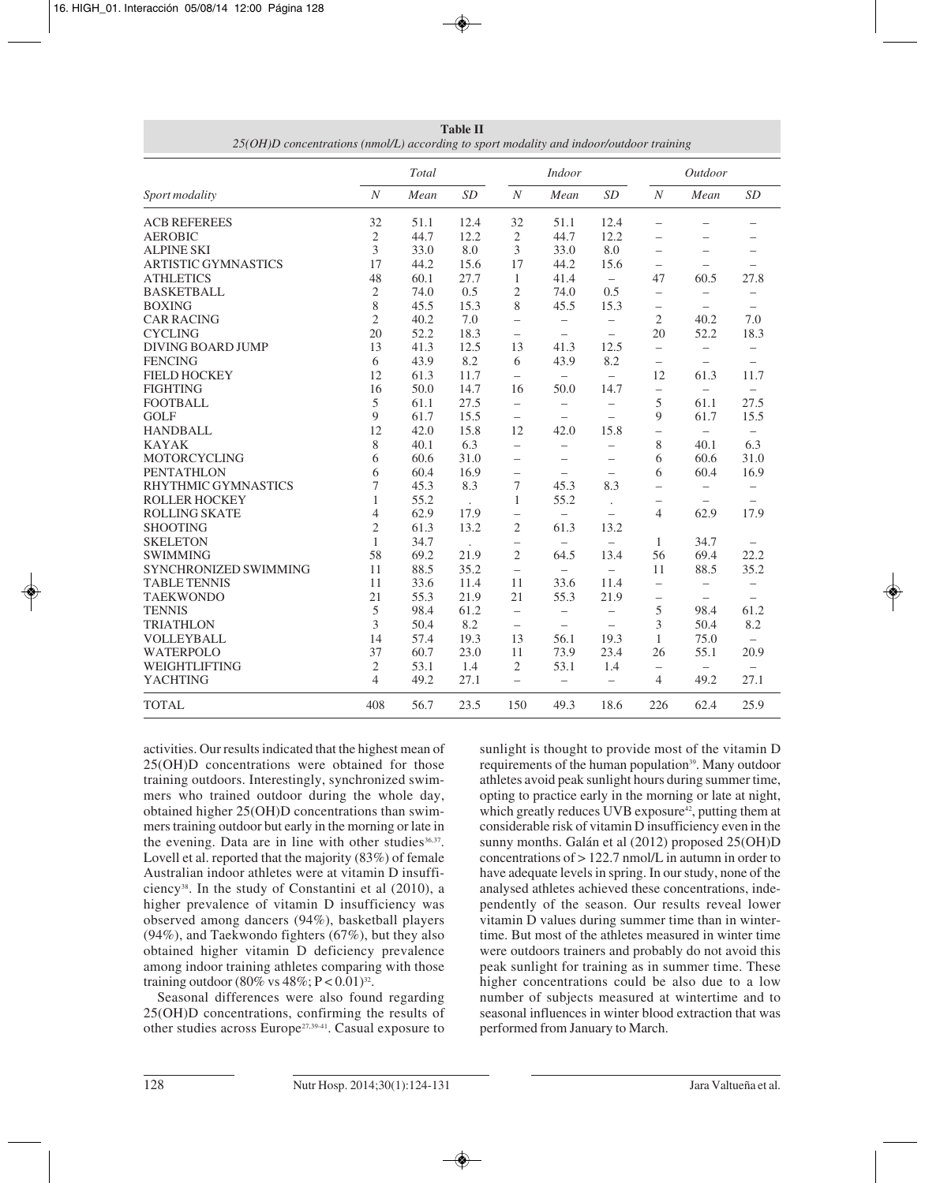|                            |                  | Total |                      | <b>Indoor</b>            |                          |                          | Outdoor                        |                          |                          |
|----------------------------|------------------|-------|----------------------|--------------------------|--------------------------|--------------------------|--------------------------------|--------------------------|--------------------------|
| Sport modality             | $\boldsymbol{N}$ | Mean  | SD                   | $\boldsymbol{N}$         | Mean                     | SD                       | $\boldsymbol{N}$               | Mean                     | SD                       |
| <b>ACB REFEREES</b>        | 32               | 51.1  | 12.4                 | 32                       | 51.1                     | 12.4                     |                                |                          |                          |
| <b>AEROBIC</b>             | $\mathfrak{2}$   | 44.7  | 12.2                 | $\sqrt{2}$               | 44.7                     | 12.2                     |                                |                          |                          |
| <b>ALPINE SKI</b>          | 3                | 33.0  | 8.0                  | 3                        | 33.0                     | 8.0                      | $\overline{\phantom{0}}$       |                          |                          |
| <b>ARTISTIC GYMNASTICS</b> | 17               | 44.2  | 15.6                 | 17                       | 44.2                     | 15.6                     |                                |                          |                          |
| <b>ATHLETICS</b>           | 48               | 60.1  | 27.7                 | 1                        | 41.4                     | $\equiv$                 | 47                             | 60.5                     | 27.8                     |
| <b>BASKETBALL</b>          | $\mathfrak{2}$   | 74.0  | 0.5                  | $\mathfrak{2}$           | 74.0                     | 0.5                      | $\qquad \qquad -$              | $\overline{\phantom{m}}$ | $\overline{\phantom{0}}$ |
| <b>BOXING</b>              | 8                | 45.5  | 15.3                 | 8                        | 45.5                     | 15.3                     | $\qquad \qquad \longleftarrow$ |                          | $\equiv$                 |
| <b>CAR RACING</b>          | $\overline{2}$   | 40.2  | 7.0                  | $\overline{\phantom{m}}$ | $\overline{\phantom{m}}$ | $\overline{\phantom{m}}$ | $\mathfrak{2}$                 | 40.2                     | 7.0                      |
| <b>CYCLING</b>             | 20               | 52.2  | 18.3                 |                          | $\qquad \qquad -$        | $\qquad \qquad -$        | 20                             | 52.2                     | 18.3                     |
| <b>DIVING BOARD JUMP</b>   | 13               | 41.3  | 12.5                 | 13                       | 41.3                     | 12.5                     | $\overline{\phantom{0}}$       |                          |                          |
| <b>FENCING</b>             | 6                | 43.9  | 8.2                  | 6                        | 43.9                     | 8.2                      |                                |                          | $\frac{1}{2}$            |
| <b>FIELD HOCKEY</b>        | 12               | 61.3  | 11.7                 | $\overline{\phantom{m}}$ | $\equiv$                 | $\overline{\phantom{m}}$ | 12                             | 61.3                     | 11.7                     |
| <b>FIGHTING</b>            | 16               | 50.0  | 14.7                 | 16                       | 50.0                     | 14.7                     | $\qquad \qquad -$              | $\qquad \qquad -$        | $\equiv$                 |
| <b>FOOTBALL</b>            | 5                | 61.1  | 27.5                 | $\qquad \qquad -$        | $\overline{\phantom{0}}$ | $\equiv$                 | 5                              | 61.1                     | 27.5                     |
| <b>GOLF</b>                | 9                | 61.7  | 15.5                 | $\overline{\phantom{m}}$ | $\overline{\phantom{0}}$ | $\equiv$                 | 9                              | 61.7                     | 15.5                     |
| <b>HANDBALL</b>            | 12               | 42.0  | 15.8                 | 12                       | 42.0                     | 15.8                     | $\overline{\phantom{0}}$       | $\equiv$                 | $\equiv$                 |
| <b>KAYAK</b>               | 8                | 40.1  | 6.3                  | $\equiv$                 | $\qquad \qquad -$        | $\qquad \qquad -$        | 8                              | 40.1                     | 6.3                      |
| MOTORCYCLING               | 6                | 60.6  | 31.0                 | $\equiv$                 | $\equiv$                 | $\qquad \qquad -$        | 6                              | 60.6                     | 31.0                     |
| <b>PENTATHLON</b>          | 6                | 60.4  | 16.9                 | $\overline{\phantom{0}}$ | $\overline{\phantom{m}}$ | $\overline{\phantom{m}}$ | 6                              | 60.4                     | 16.9                     |
| <b>RHYTHMIC GYMNASTICS</b> | 7                | 45.3  | 8.3                  | $\tau$                   | 45.3                     | 8.3                      | $\overline{\phantom{m}}$       | $\overline{\phantom{0}}$ |                          |
| <b>ROLLER HOCKEY</b>       | $\mathbf{1}$     | 55.2  |                      | $\mathbf{1}$             | 55.2                     | $\ddot{\phantom{a}}$     | -                              | $\equiv$                 | $\equiv$                 |
| <b>ROLLING SKATE</b>       | $\overline{4}$   | 62.9  | 17.9                 | $\overline{\phantom{0}}$ | $\equiv$                 |                          | 4                              | 62.9                     | 17.9                     |
| <b>SHOOTING</b>            | $\overline{2}$   | 61.3  | 13.2                 | $\mathfrak{2}$           | 61.3                     | 13.2                     |                                |                          |                          |
| <b>SKELETON</b>            | $\mathbf{1}$     | 34.7  | $\ddot{\phantom{a}}$ |                          | $\overline{\phantom{m}}$ | $\overline{\phantom{m}}$ | 1                              | 34.7                     | $\overline{\phantom{m}}$ |
| <b>SWIMMING</b>            | 58               | 69.2  | 21.9                 | $\overline{2}$           | 64.5                     | 13.4                     | 56                             | 69.4                     | 22.2                     |
| SYNCHRONIZED SWIMMING      | 11               | 88.5  | 35.2                 | $\overline{\phantom{m}}$ | $\overline{\phantom{0}}$ | $\qquad \qquad -$        | 11                             | 88.5                     | 35.2                     |
| <b>TABLE TENNIS</b>        | 11               | 33.6  | 11.4                 | 11                       | 33.6                     | 11.4                     | $\overline{\phantom{0}}$       | $\qquad \qquad -$        | $\overline{\phantom{0}}$ |
| <b>TAEKWONDO</b>           | 21               | 55.3  | 21.9                 | 21                       | 55.3                     | 21.9                     | $\overline{\phantom{m}}$       |                          |                          |
| <b>TENNIS</b>              | 5                | 98.4  | 61.2                 | $\qquad \qquad -$        | $\equiv$                 | $\qquad \qquad -$        | 5                              | 98.4                     | 61.2                     |
| <b>TRIATHLON</b>           | 3                | 50.4  | 8.2                  | $\overline{\phantom{m}}$ | $\qquad \qquad -$        | $\overline{\phantom{m}}$ | 3                              | 50.4                     | 8.2                      |
| <b>VOLLEYBALL</b>          | 14               | 57.4  | 19.3                 | 13                       | 56.1                     | 19.3                     | 1                              | 75.0                     | $\qquad \qquad -$        |
| <b>WATERPOLO</b>           | 37               | 60.7  | 23.0                 | 11                       | 73.9                     | 23.4                     | 26                             | 55.1                     | 20.9                     |
| WEIGHTLIFTING              | $\mathfrak{2}$   | 53.1  | 1.4                  | $\mathfrak{2}$           | 53.1                     | 1.4                      | $\overline{\phantom{0}}$       | $\overline{\phantom{m}}$ |                          |
| <b>YACHTING</b>            | $\overline{4}$   | 49.2  | 27.1                 | $\equiv$                 | $\equiv$                 | $\qquad \qquad -$        | $\overline{4}$                 | 49.2                     | 27.1                     |
| <b>TOTAL</b>               | 408              | 56.7  | 23.5                 | 150                      | 49.3                     | 18.6                     | 226                            | 62.4                     | 25.9                     |

**Table II** *25(OH)D concentrations (nmol/L) according to sport modality and indoor/outdoor training*

activities. Our results indicated that the highest mean of 25(OH)D concentrations were obtained for those training outdoors. Interestingly, synchronized swimmers who trained outdoor during the whole day, obtained higher 25(OH)D concentrations than swimmers training outdoor but early in the morning or late in the evening. Data are in line with other studies  $36,37$ . Lovell et al. reported that the majority (83%) of female Australian indoor athletes were at vitamin D insufficiency38. In the study of Constantini et al (2010), a higher prevalence of vitamin D insufficiency was observed among dancers (94%), basketball players (94%), and Taekwondo fighters (67%), but they also obtained higher vitamin D deficiency prevalence among indoor training athletes comparing with those training outdoor (80% vs  $48\%; P < 0.01$ )<sup>32</sup>.

Seasonal differences were also found regarding 25(OH)D concentrations, confirming the results of other studies across Europe27,39-41. Casual exposure to sunlight is thought to provide most of the vitamin D requirements of the human population<sup>39</sup>. Many outdoor athletes avoid peak sunlight hours during summer time, opting to practice early in the morning or late at night, which greatly reduces UVB exposure<sup>42</sup>, putting them at considerable risk of vitamin D insufficiency even in the sunny months. Galán et al (2012) proposed 25(OH)D concentrations of > 122.7 nmol/L in autumn in order to have adequate levels in spring. In our study, none of the analysed athletes achieved these concentrations, independently of the season. Our results reveal lower vitamin D values during summer time than in wintertime. But most of the athletes measured in winter time were outdoors trainers and probably do not avoid this peak sunlight for training as in summer time. These higher concentrations could be also due to a low number of subjects measured at wintertime and to seasonal influences in winter blood extraction that was performed from January to March.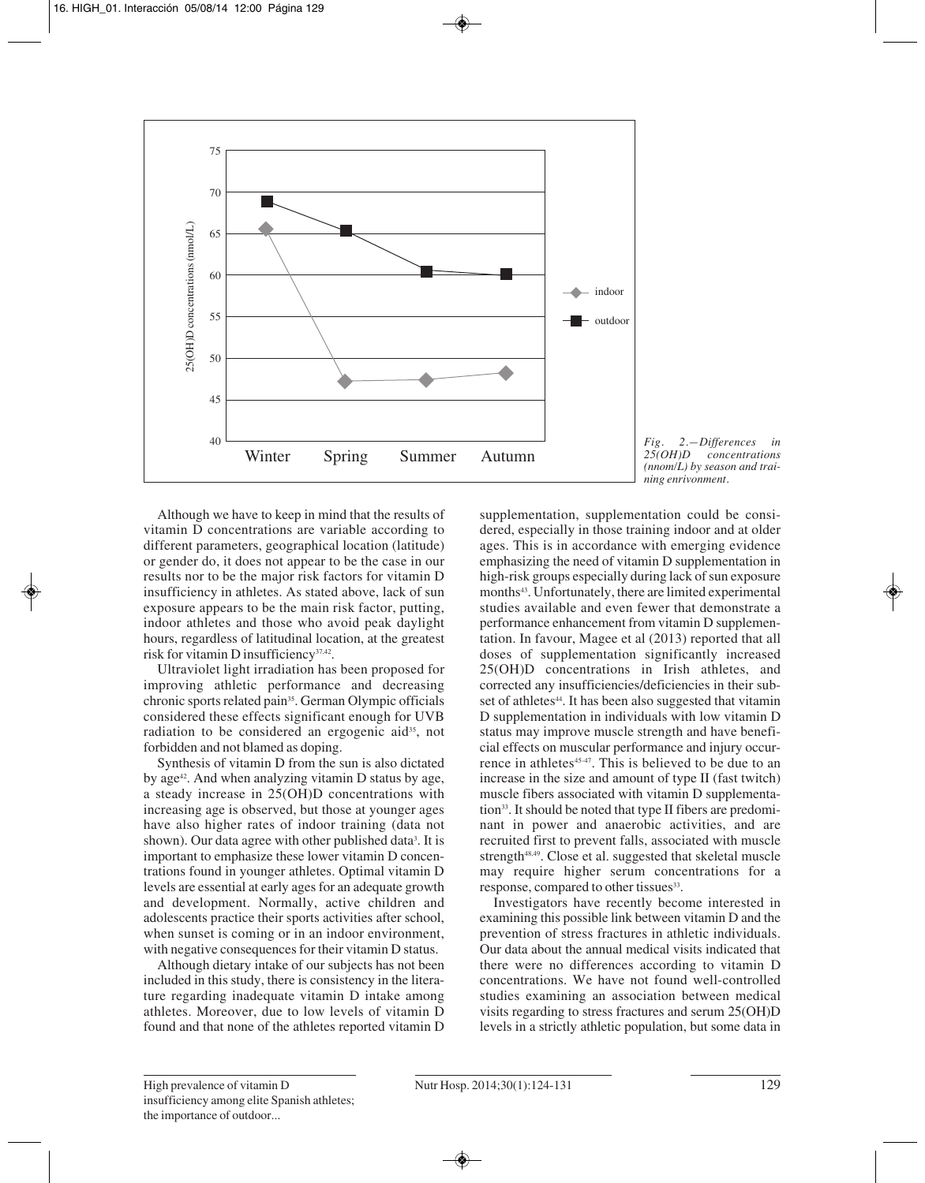

*Fig. 2.—Differences in 25(OH)D concentrations (nnom/L) by season and training enrivonment.*

Although we have to keep in mind that the results of vitamin D concentrations are variable according to different parameters, geographical location (latitude) or gender do, it does not appear to be the case in our results nor to be the major risk factors for vitamin D insufficiency in athletes. As stated above, lack of sun exposure appears to be the main risk factor, putting, indoor athletes and those who avoid peak daylight hours, regardless of latitudinal location, at the greatest risk for vitamin D insufficiency37,42.

Ultraviolet light irradiation has been proposed for improving athletic performance and decreasing chronic sports related pain<sup>35</sup>. German Olympic officials considered these effects significant enough for UVB radiation to be considered an ergogenic aid<sup>35</sup>, not forbidden and not blamed as doping.

Synthesis of vitamin D from the sun is also dictated by age<sup>42</sup>. And when analyzing vitamin D status by age, a steady increase in 25(OH)D concentrations with increasing age is observed, but those at younger ages have also higher rates of indoor training (data not shown). Our data agree with other published data<sup>3</sup>. It is important to emphasize these lower vitamin D concentrations found in younger athletes. Optimal vitamin D levels are essential at early ages for an adequate growth and development. Normally, active children and adolescents practice their sports activities after school, when sunset is coming or in an indoor environment, with negative consequences for their vitamin D status.

Although dietary intake of our subjects has not been included in this study, there is consistency in the literature regarding inadequate vitamin D intake among athletes. Moreover, due to low levels of vitamin D found and that none of the athletes reported vitamin D

supplementation, supplementation could be considered, especially in those training indoor and at older ages. This is in accordance with emerging evidence emphasizing the need of vitamin D supplementation in high-risk groups especially during lack of sun exposure months<sup>43</sup>. Unfortunately, there are limited experimental studies available and even fewer that demonstrate a performance enhancement from vitamin D supplementation. In favour, Magee et al (2013) reported that all doses of supplementation significantly increased 25(OH)D concentrations in Irish athletes, and corrected any insufficiencies/deficiencies in their subset of athletes<sup>44</sup>. It has been also suggested that vitamin D supplementation in individuals with low vitamin D status may improve muscle strength and have beneficial effects on muscular performance and injury occurrence in athletes<sup>45-47</sup>. This is believed to be due to an increase in the size and amount of type II (fast twitch) muscle fibers associated with vitamin D supplementation<sup>33</sup>. It should be noted that type II fibers are predominant in power and anaerobic activities, and are recruited first to prevent falls, associated with muscle strength<sup>48,49</sup>. Close et al. suggested that skeletal muscle may require higher serum concentrations for a response, compared to other tissues<sup>33</sup>.

Investigators have recently become interested in examining this possible link between vitamin D and the prevention of stress fractures in athletic individuals. Our data about the annual medical visits indicated that there were no differences according to vitamin D concentrations. We have not found well-controlled studies examining an association between medical visits regarding to stress fractures and serum 25(OH)D levels in a strictly athletic population, but some data in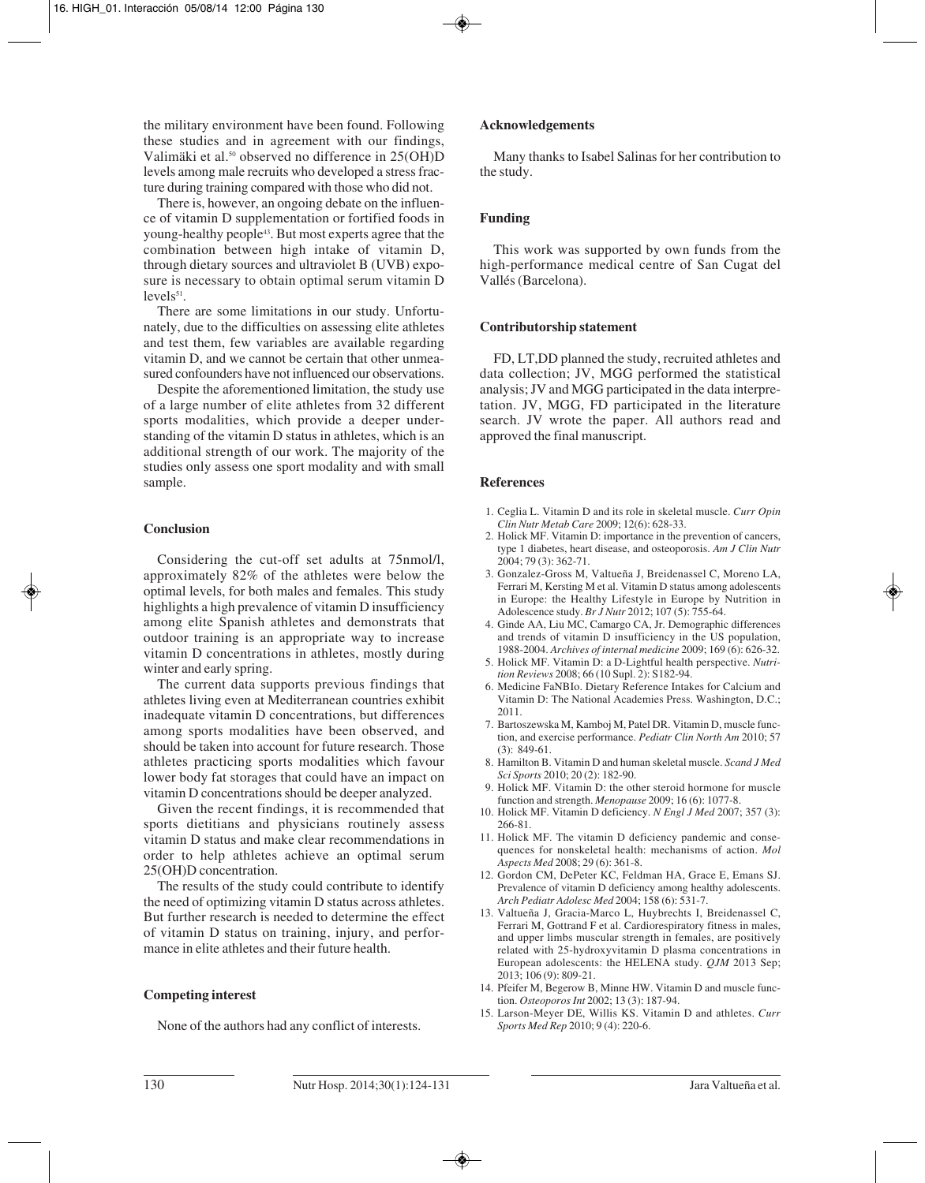the military environment have been found. Following these studies and in agreement with our findings, Valimäki et al.<sup>50</sup> observed no difference in 25(OH)D levels among male recruits who developed a stress fracture during training compared with those who did not.

There is, however, an ongoing debate on the influence of vitamin D supplementation or fortified foods in young-healthy people43. But most experts agree that the combination between high intake of vitamin D, through dietary sources and ultraviolet B (UVB) exposure is necessary to obtain optimal serum vitamin D  $levels<sup>51</sup>$ .

There are some limitations in our study. Unfortunately, due to the difficulties on assessing elite athletes and test them, few variables are available regarding vitamin D, and we cannot be certain that other unmeasured confounders have not influenced our observations.

Despite the aforementioned limitation, the study use of a large number of elite athletes from 32 different sports modalities, which provide a deeper understanding of the vitamin D status in athletes, which is an additional strength of our work. The majority of the studies only assess one sport modality and with small sample.

# **Conclusion**

Considering the cut-off set adults at 75nmol/l, approximately 82% of the athletes were below the optimal levels, for both males and females. This study highlights a high prevalence of vitamin D insufficiency among elite Spanish athletes and demonstrats that outdoor training is an appropriate way to increase vitamin D concentrations in athletes, mostly during winter and early spring.

The current data supports previous findings that athletes living even at Mediterranean countries exhibit inadequate vitamin D concentrations, but differences among sports modalities have been observed, and should be taken into account for future research. Those athletes practicing sports modalities which favour lower body fat storages that could have an impact on vitamin D concentrations should be deeper analyzed.

Given the recent findings, it is recommended that sports dietitians and physicians routinely assess vitamin D status and make clear recommendations in order to help athletes achieve an optimal serum 25(OH)D concentration.

The results of the study could contribute to identify the need of optimizing vitamin D status across athletes. But further research is needed to determine the effect of vitamin D status on training, injury, and performance in elite athletes and their future health.

#### **Competing interest**

None of the authors had any conflict of interests.

#### **Acknowledgements**

Many thanks to Isabel Salinas for her contribution to the study.

# **Funding**

This work was supported by own funds from the high-performance medical centre of San Cugat del Vallés (Barcelona).

#### **Contributorship statement**

FD, LT,DD planned the study, recruited athletes and data collection; JV, MGG performed the statistical analysis; JV and MGG participated in the data interpretation. JV, MGG, FD participated in the literature search. JV wrote the paper. All authors read and approved the final manuscript.

#### **References**

- 1. Ceglia L. Vitamin D and its role in skeletal muscle. *Curr Opin Clin Nutr Metab Care* 2009; 12(6): 628-33.
- 2. Holick MF. Vitamin D: importance in the prevention of cancers, type 1 diabetes, heart disease, and osteoporosis. *Am J Clin Nutr* 2004; 79 (3): 362-71.
- 3. Gonzalez-Gross M, Valtueña J, Breidenassel C, Moreno LA, Ferrari M, Kersting M et al. Vitamin D status among adolescents in Europe: the Healthy Lifestyle in Europe by Nutrition in Adolescence study. *Br J Nutr* 2012; 107 (5): 755-64.
- 4. Ginde AA, Liu MC, Camargo CA, Jr. Demographic differences and trends of vitamin D insufficiency in the US population, 1988-2004. *Archives of internal medicine* 2009; 169 (6): 626-32.
- 5. Holick MF. Vitamin D: a D-Lightful health perspective. *Nutrition Reviews* 2008; 66 (10 Supl. 2): S182-94.
- 6. Medicine FaNBIo. Dietary Reference Intakes for Calcium and Vitamin D: The National Academies Press. Washington, D.C.; 2011.
- 7. Bartoszewska M, Kamboj M, Patel DR. Vitamin D, muscle function, and exercise performance. *Pediatr Clin North Am* 2010; 57 (3): 849-61.
- 8. Hamilton B. Vitamin D and human skeletal muscle. *Scand J Med Sci Sports* 2010; 20 (2): 182-90.
- 9. Holick MF. Vitamin D: the other steroid hormone for muscle function and strength. *Menopause* 2009; 16 (6): 1077-8.
- 10. Holick MF. Vitamin D deficiency. *N Engl J Med* 2007; 357 (3): 266-81.
- 11. Holick MF. The vitamin D deficiency pandemic and consequences for nonskeletal health: mechanisms of action. *Mol Aspects Med* 2008; 29 (6): 361-8.
- 12. Gordon CM, DePeter KC, Feldman HA, Grace E, Emans SJ. Prevalence of vitamin D deficiency among healthy adolescents. *Arch Pediatr Adolesc Med* 2004; 158 (6): 531-7.
- 13. Valtueña J, Gracia-Marco L, Huybrechts I, Breidenassel C, Ferrari M, Gottrand F et al. Cardiorespiratory fitness in males, and upper limbs muscular strength in females, are positively related with 25-hydroxyvitamin D plasma concentrations in European adolescents: the HELENA study. *QJM* 2013 Sep; 2013; 106 (9): 809-21.
- 14. Pfeifer M, Begerow B, Minne HW. Vitamin D and muscle function. *Osteoporos Int* 2002; 13 (3): 187-94.
- 15. Larson-Meyer DE, Willis KS. Vitamin D and athletes. *Curr Sports Med Rep* 2010; 9 (4): 220-6.